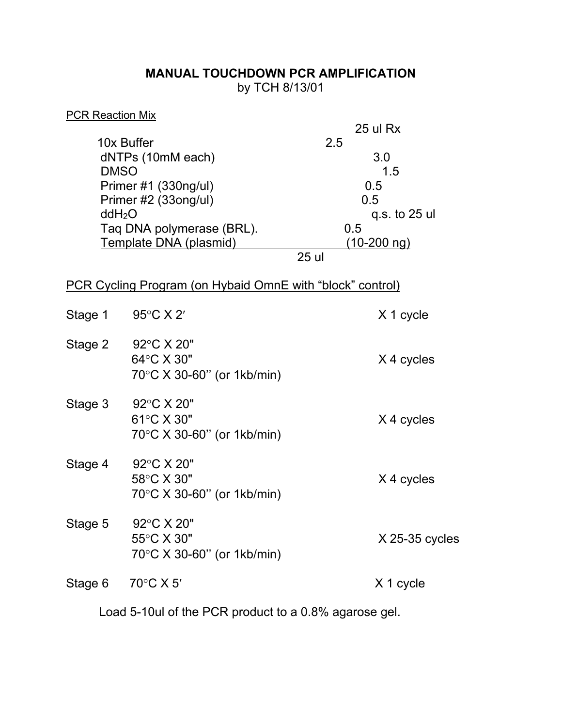## **MANUAL TOUCHDOWN PCR AMPLIFICATION**  by TCH 8/13/01

| <b>PCR Reaction Mix</b>   |                                                                  |                    |
|---------------------------|------------------------------------------------------------------|--------------------|
|                           |                                                                  | 25 ul Rx           |
| 10x Buffer                |                                                                  | 2.5                |
| dNTPs (10mM each)         |                                                                  | 3.0                |
| <b>DMSO</b>               |                                                                  | 1.5                |
| Primer #1 (330ng/ul)      |                                                                  | 0.5                |
| Primer #2 (33ong/ul)      |                                                                  | 0.5                |
| ddH <sub>2</sub> O        |                                                                  | q.s. to 25 ul      |
| Taq DNA polymerase (BRL). |                                                                  | 0.5                |
|                           | Template DNA (plasmid)                                           | <u>(10-200 ng)</u> |
|                           |                                                                  | 25 ul              |
|                           | <b>PCR Cycling Program (on Hybaid OmnE with "block" control)</b> |                    |
| Stage 1                   | 95 $\degree$ C X 2'                                              | X 1 cycle          |
| Stage 2                   | 92°C X 20"                                                       |                    |
|                           | 64°C X 30"                                                       | X 4 cycles         |
|                           | $70^{\circ}$ C X 30-60" (or 1kb/min)                             |                    |
|                           | 92°C X 20"                                                       |                    |
| Stage 3                   |                                                                  |                    |
|                           | 61°C X 30"                                                       | X 4 cycles         |
|                           | $70^{\circ}$ C X 30-60" (or 1kb/min)                             |                    |
| Stage 4                   | 92°C X 20"                                                       |                    |
|                           | 58°C X 30"                                                       | X 4 cycles         |
|                           | 70°C X 30-60" (or 1kb/min)                                       |                    |
| Stage 5                   | 92°C X 20"                                                       |                    |
|                           | 55°C X 30"                                                       | $X$ 25-35 cycles   |
|                           | $70^{\circ}$ C X 30-60" (or 1kb/min)                             |                    |
|                           |                                                                  |                    |
| Stage 6                   | 70°C X 5'                                                        | X 1 cycle          |
|                           |                                                                  |                    |

Load 5-10ul of the PCR product to a 0.8% agarose gel.